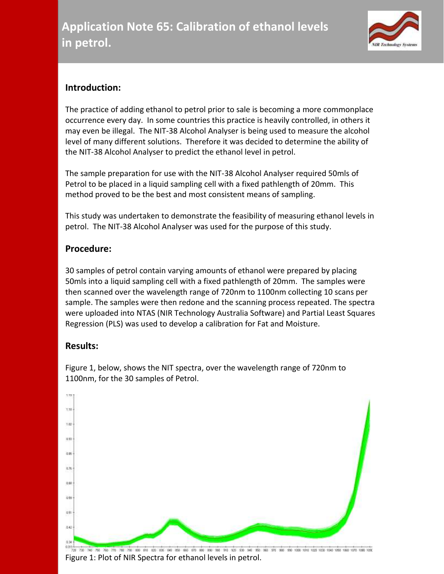

## **Introduction:**

The practice of adding ethanol to petrol prior to sale is becoming a more commonplace occurrence every day. In some countries this practice is heavily controlled, in others it may even be illegal. The NIT-38 Alcohol Analyser is being used to measure the alcohol level of many different solutions. Therefore it was decided to determine the ability of the NIT-38 Alcohol Analyser to predict the ethanol level in petrol.

The sample preparation for use with the NIT-38 Alcohol Analyser required 50mls of Petrol to be placed in a liquid sampling cell with a fixed pathlength of 20mm. This method proved to be the best and most consistent means of sampling.

This study was undertaken to demonstrate the feasibility of measuring ethanol levels in petrol. The NIT-38 Alcohol Analyser was used for the purpose of this study.

## **Procedure:**

30 samples of petrol contain varying amounts of ethanol were prepared by placing 50mls into a liquid sampling cell with a fixed pathlength of 20mm. The samples were then scanned over the wavelength range of 720nm to 1100nm collecting 10 scans per sample. The samples were then redone and the scanning process repeated. The spectra were uploaded into NTAS (NIR Technology Australia Software) and Partial Least Squares Regression (PLS) was used to develop a calibration for Fat and Moisture.

## **Results:**



Figure 1, below, shows the NIT spectra, over the wavelength range of 720nm to 1100nm, for the 30 samples of Petrol.

Figure 1: Plot of NIR Spectra for ethanol levels in petrol.